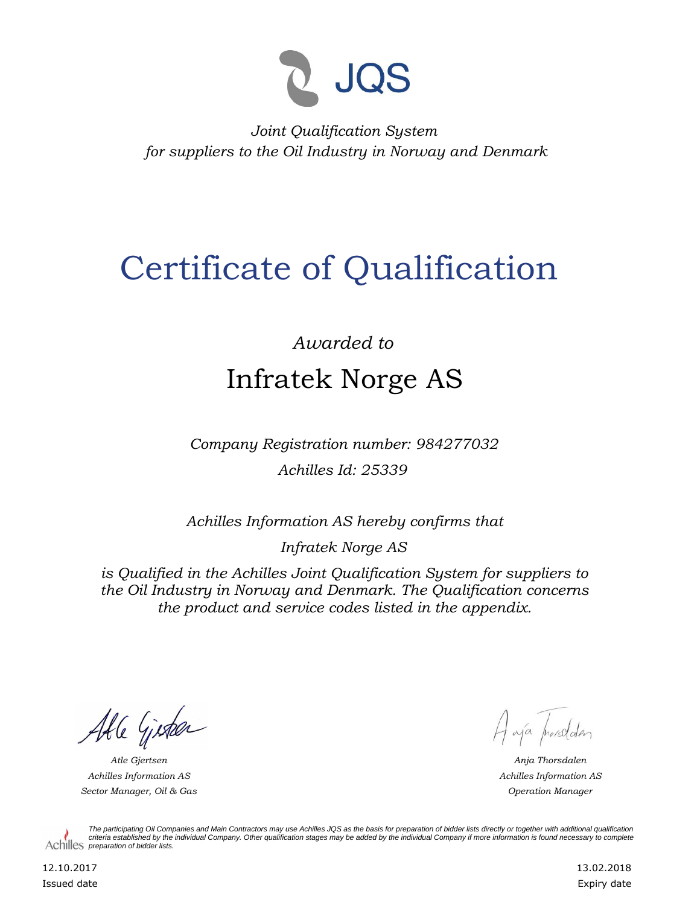

*Joint Qualification System for suppliers to the Oil Industry in Norway and Denmark*

## Certificate of Qualification

## *Awarded to* Infratek Norge AS

*Company Registration number: 984277032 Achilles Id: 25339*

*Achilles Information AS hereby confirms that*

*Infratek Norge AS*

*is Qualified in the Achilles Joint Qualification System for suppliers to the Oil Industry in Norway and Denmark. The Qualification concerns the product and service codes listed in the appendix.*

Able Gister

*Achilles Information AS Sector Manager, Oil & Gas Operation Manager*

A ajá prorodden

*Atle Gjertsen Anja Thorsdalen Achilles Information AS*

*The participating Oil Companies and Main Contractors may use Achilles JQS as the basis for preparation of bidder lists directly or together with additional qualification criteria established by the individual Company. Other qualification stages may be added by the individual Company if more information is found necessary to complete*  Achilles *preparation of bidder lists*.

12.10.2017 Issued date